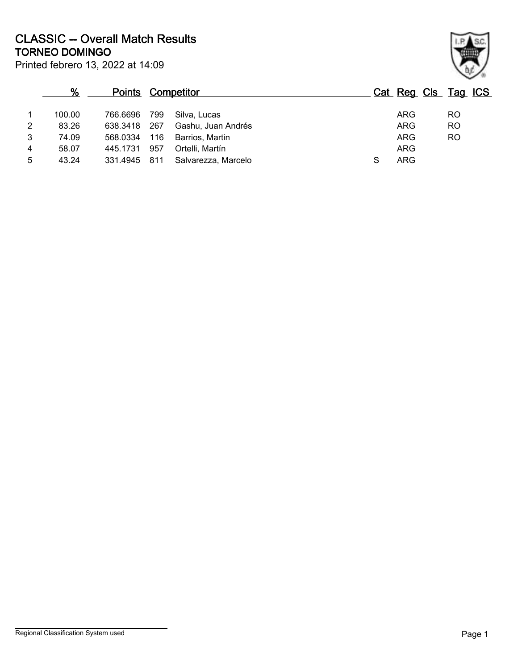Printed febrero 13, 2022 at 14:09 **TORNEO DOMINGO CLASSIC -- Overall Match Results**

| %      |          |     |                     |                          |            | Cat Reg Cls Tag ICS |
|--------|----------|-----|---------------------|--------------------------|------------|---------------------|
| 100.00 | 766.6696 | 799 | Silva, Lucas        |                          | <b>ARG</b> | R <sub>O</sub>      |
| 83.26  | 638.3418 | 267 | Gashu, Juan Andrés  |                          | ARG        | R <sub>O</sub>      |
| 74.09  | 568.0334 | 116 | Barrios, Martin     |                          | ARG        | <b>RO</b>           |
| 58.07  | 445.1731 | 957 | Ortelli, Martín     |                          | ARG        |                     |
| 43.24  |          |     | Salvarezza, Marcelo | S                        | <b>ARG</b> |                     |
|        |          |     | 331.4945 811        | <b>Points Competitor</b> |            |                     |

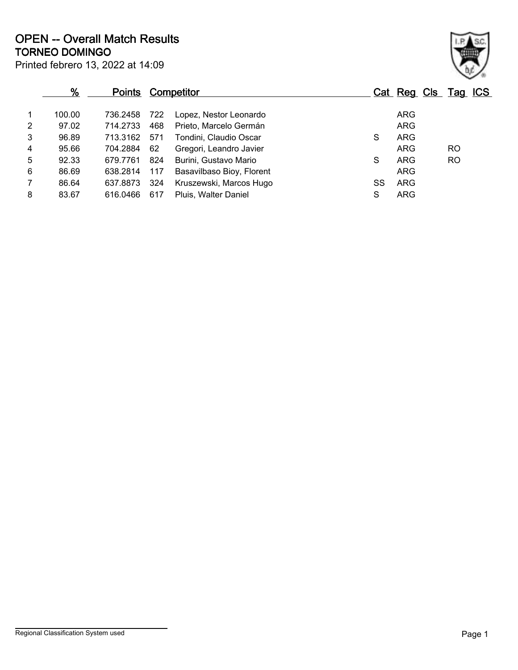Printed febrero 13, 2022 at 14:09 **TORNEO DOMINGO OPEN -- Overall Match Results**

|                | %      | <b>Points Competitor</b> |     |                           |    | Cat Reg Cls Tag ICS |           |  |
|----------------|--------|--------------------------|-----|---------------------------|----|---------------------|-----------|--|
| 1              | 100.00 | 736.2458                 | 722 | Lopez, Nestor Leonardo    |    | <b>ARG</b>          |           |  |
| $\overline{2}$ | 97.02  | 714.2733                 | 468 | Prieto, Marcelo Germán    |    | <b>ARG</b>          |           |  |
| 3              | 96.89  | 713.3162                 | 571 | Tondini, Claudio Oscar    | S  | <b>ARG</b>          |           |  |
| 4              | 95.66  | 704.2884                 | 62  | Gregori, Leandro Javier   |    | <b>ARG</b>          | RO        |  |
| 5              | 92.33  | 679.7761                 | 824 | Burini, Gustavo Mario     | S  | <b>ARG</b>          | <b>RO</b> |  |
| 6              | 86.69  | 638.2814                 | 117 | Basavilbaso Bioy, Florent |    | <b>ARG</b>          |           |  |
| $\overline{7}$ | 86.64  | 637.8873                 | 324 | Kruszewski, Marcos Hugo   | SS | <b>ARG</b>          |           |  |
| 8              | 83.67  | 616.0466                 | 617 | Pluis, Walter Daniel      | S  | <b>ARG</b>          |           |  |

Regional Classification System used **Page 1** 

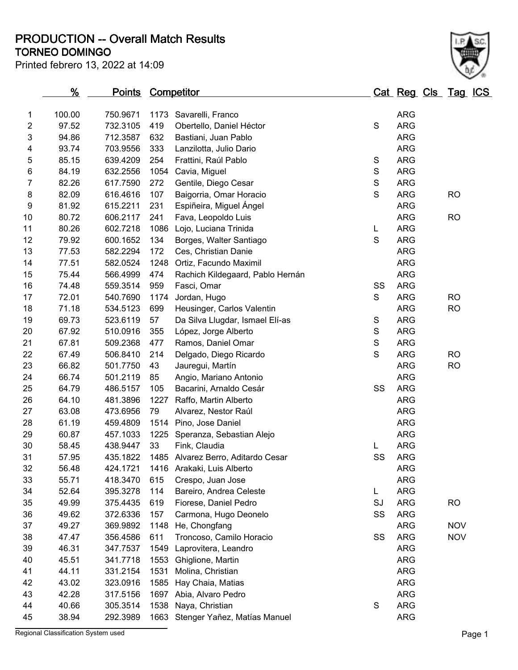**TORNEO DOMINGO PRODUCTION -- Overall Match Results**

| Printed febrero 13, 2022 at 14:09 |  |  |  |  |
|-----------------------------------|--|--|--|--|
|-----------------------------------|--|--|--|--|



|                | <u>%</u> | <u>Points</u> |      | <u>Competitor</u>                  |               | <u>Cat Reg Cls Tag ICS</u> |            |  |
|----------------|----------|---------------|------|------------------------------------|---------------|----------------------------|------------|--|
| 1              | 100.00   | 750.9671      | 1173 | Savarelli, Franco                  |               | <b>ARG</b>                 |            |  |
| 2              | 97.52    | 732.3105      | 419  | Obertello, Daniel Héctor           | $\mathsf S$   | <b>ARG</b>                 |            |  |
| 3              | 94.86    | 712.3587      | 632  | Bastiani, Juan Pablo               |               | <b>ARG</b>                 |            |  |
| 4              | 93.74    | 703.9556      | 333  | Lanzilotta, Julio Dario            |               | <b>ARG</b>                 |            |  |
| 5              | 85.15    | 639.4209      | 254  | Frattini, Raúl Pablo               | S             | <b>ARG</b>                 |            |  |
| 6              | 84.19    | 632.2556      | 1054 | Cavia, Miguel                      | ${\mathsf S}$ | <b>ARG</b>                 |            |  |
| $\overline{7}$ | 82.26    | 617.7590      | 272  | Gentile, Diego Cesar               | $\mathbf S$   | <b>ARG</b>                 |            |  |
| 8              | 82.09    | 616.4616      | 107  | Baigorria, Omar Horacio            | $\mathbf S$   | <b>ARG</b>                 | <b>RO</b>  |  |
| 9              | 81.92    | 615.2211      | 231  | Espiñeira, Miguel Ángel            |               | <b>ARG</b>                 |            |  |
| 10             | 80.72    | 606.2117      | 241  | Fava, Leopoldo Luis                |               | <b>ARG</b>                 | <b>RO</b>  |  |
| 11             | 80.26    | 602.7218      | 1086 | Lojo, Luciana Trinida              | L             | <b>ARG</b>                 |            |  |
| 12             | 79.92    | 600.1652      | 134  | Borges, Walter Santiago            | $\mathbf S$   | <b>ARG</b>                 |            |  |
| 13             | 77.53    | 582.2294      | 172  | Ces, Christian Danie               |               | <b>ARG</b>                 |            |  |
| 14             | 77.51    | 582.0524      | 1248 | Ortiz, Facundo Maximil             |               | <b>ARG</b>                 |            |  |
| 15             | 75.44    | 566.4999      | 474  | Rachich Kildegaard, Pablo Hernán   |               | <b>ARG</b>                 |            |  |
| 16             | 74.48    | 559.3514      | 959  | Fasci, Omar                        | SS            | <b>ARG</b>                 |            |  |
| 17             | 72.01    | 540.7690      | 1174 | Jordan, Hugo                       | S             | <b>ARG</b>                 | <b>RO</b>  |  |
| 18             | 71.18    | 534.5123      | 699  | Heusinger, Carlos Valentin         |               | <b>ARG</b>                 | <b>RO</b>  |  |
| 19             | 69.73    | 523.6119      | 57   | Da Silva Llugdar, Ismael Elí-as    | $\mathbf S$   | <b>ARG</b>                 |            |  |
| 20             | 67.92    | 510.0916      | 355  | López, Jorge Alberto               | $\mathsf S$   | <b>ARG</b>                 |            |  |
| 21             | 67.81    | 509.2368      | 477  | Ramos, Daniel Omar                 | ${\mathsf S}$ | <b>ARG</b>                 |            |  |
| 22             | 67.49    | 506.8410      | 214  | Delgado, Diego Ricardo             | $\mathbf S$   | <b>ARG</b>                 | <b>RO</b>  |  |
| 23             | 66.82    | 501.7750      | 43   | Jauregui, Martín                   |               | <b>ARG</b>                 | <b>RO</b>  |  |
| 24             | 66.74    | 501.2119      | 85   | Angio, Mariano Antonio             |               | <b>ARG</b>                 |            |  |
| 25             | 64.79    | 486.5157      | 105  | Bacarini, Arnaldo Cesár            | SS            | <b>ARG</b>                 |            |  |
| 26             | 64.10    | 481.3896      | 1227 | Raffo, Martin Alberto              |               | <b>ARG</b>                 |            |  |
| 27             | 63.08    | 473.6956      | 79   | Alvarez, Nestor Raúl               |               | <b>ARG</b>                 |            |  |
| 28             | 61.19    | 459.4809      |      | 1514 Pino, Jose Daniel             |               | <b>ARG</b>                 |            |  |
| 29             | 60.87    | 457.1033      | 1225 | Speranza, Sebastian Alejo          |               | <b>ARG</b>                 |            |  |
| 30             | 58.45    | 438.9447      | 33   | Fink, Claudia                      | L             | <b>ARG</b>                 |            |  |
| 31             | 57.95    | 435.1822      |      | 1485 Alvarez Berro, Aditardo Cesar | SS            | <b>ARG</b>                 |            |  |
| 32             | 56.48    | 424.1721      |      | 1416 Arakaki, Luis Alberto         |               | <b>ARG</b>                 |            |  |
| 33             | 55.71    | 418.3470      | 615  | Crespo, Juan Jose                  |               | <b>ARG</b>                 |            |  |
| 34             | 52.64    | 395.3278      | 114  | Bareiro, Andrea Celeste            | L             | <b>ARG</b>                 |            |  |
| 35             | 49.99    | 375.4435      | 619  | Fiorese, Daniel Pedro              | SJ            | <b>ARG</b>                 | <b>RO</b>  |  |
| 36             | 49.62    | 372.6336      | 157  | Carmona, Hugo Deonelo              | SS            | <b>ARG</b>                 |            |  |
| 37             | 49.27    | 369.9892      | 1148 | He, Chongfang                      |               | <b>ARG</b>                 | <b>NOV</b> |  |
| 38             | 47.47    | 356.4586      | 611  | Troncoso, Camilo Horacio           | SS            | <b>ARG</b>                 | <b>NOV</b> |  |
| 39             | 46.31    | 347.7537      | 1549 | Laprovitera, Leandro               |               | <b>ARG</b>                 |            |  |
| 40             | 45.51    | 341.7718      | 1553 | Ghiglione, Martin                  |               | <b>ARG</b>                 |            |  |
| 41             | 44.11    | 331.2154      | 1531 | Molina, Christian                  |               | <b>ARG</b>                 |            |  |
| 42             | 43.02    | 323.0916      | 1585 | Hay Chaia, Matias                  |               | <b>ARG</b>                 |            |  |
| 43             | 42.28    | 317.5156      | 1697 | Abia, Alvaro Pedro                 |               | <b>ARG</b>                 |            |  |
| 44             | 40.66    | 305.3514      |      | 1538 Naya, Christian               | $\mathbf S$   | <b>ARG</b>                 |            |  |
| 45             | 38.94    | 292.3989      |      | 1663 Stenger Yañez, Matías Manuel  |               | <b>ARG</b>                 |            |  |

Regional Classification System used **Page 1**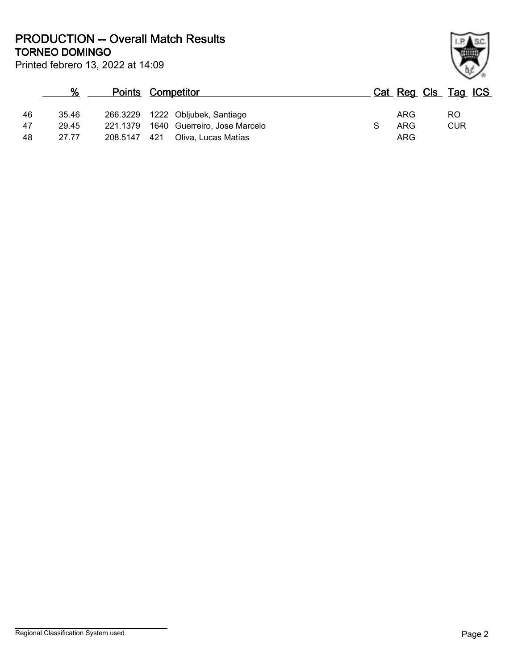**TORNEO DOMINGO PRODUCTION -- Overall Match Results**

| ł |  |
|---|--|

| Printed febrero 13, 2022 at 14:09 |  |
|-----------------------------------|--|
|                                   |  |

|          | %              |          | <b>Points Competitor</b>                                                  | Cat Reg Cls Tag ICS             |
|----------|----------------|----------|---------------------------------------------------------------------------|---------------------------------|
| 46<br>47 | 35.46<br>29.45 |          | 266.3229 1222 Obljubek, Santiago<br>221.1379 1640 Guerreiro, Jose Marcelo | ARG<br>RO.<br><b>CUR</b><br>ARG |
| 48       | 27.77          | 208.5147 | Oliva, Lucas Matías<br>421                                                | ARG                             |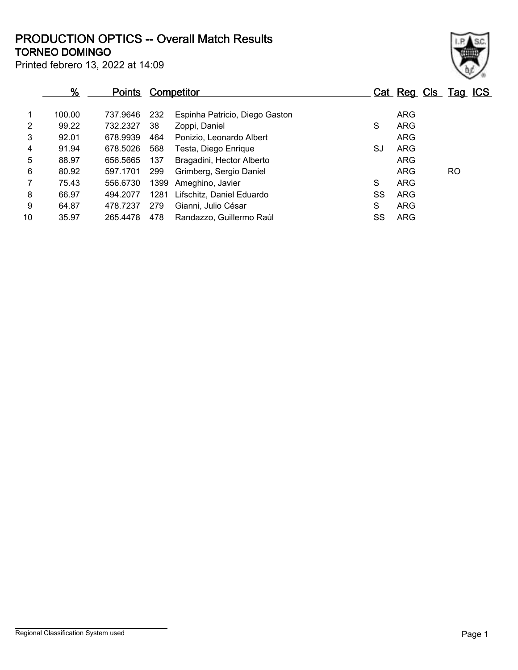## **TORNEO DOMINGO PRODUCTION OPTICS -- Overall Match Results**

| × |  |
|---|--|

Printed febrero 13, 2022 at 14:09

|    | $\frac{9}{6}$ | <b>Points</b> |      | <b>Competitor</b>              |    | Cat Reg Cls Tag ICS |    |  |
|----|---------------|---------------|------|--------------------------------|----|---------------------|----|--|
|    | 100.00        | 737.9646      | 232  | Espinha Patricio, Diego Gaston |    | <b>ARG</b>          |    |  |
| 2  | 99.22         | 732.2327      | 38   | Zoppi, Daniel                  | S  | <b>ARG</b>          |    |  |
| 3  | 92.01         | 678.9939      | 464  | Ponizio, Leonardo Albert       |    | <b>ARG</b>          |    |  |
| 4  | 91.94         | 678.5026      | 568  | Testa, Diego Enrique           | SJ | <b>ARG</b>          |    |  |
| 5  | 88.97         | 656.5665      | 137  | Bragadini, Hector Alberto      |    | <b>ARG</b>          |    |  |
| 6  | 80.92         | 597.1701      | 299  | Grimberg, Sergio Daniel        |    | <b>ARG</b>          | RO |  |
|    | 75.43         | 556.6730      | 1399 | Ameghino, Javier               | S  | <b>ARG</b>          |    |  |
| 8  | 66.97         | 494.2077      | 1281 | Lifschitz, Daniel Eduardo      | SS | ARG                 |    |  |
| 9  | 64.87         | 478.7237      | 279  | Gianni, Julio César            | S  | <b>ARG</b>          |    |  |
| 10 | 35.97         | 265.4478      | 478  | Randazzo, Guillermo Raúl       | SS | ARG                 |    |  |
|    |               |               |      |                                |    |                     |    |  |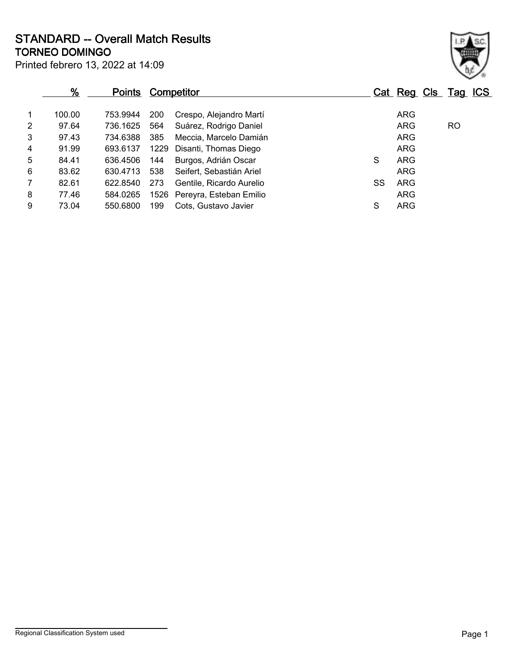**TORNEO DOMINGO STANDARD -- Overall Match Results**

|                | %      | <u>Points</u> |            | <b>Competitor</b>            |    | Cat Reg Cls Tag ICS |           |  |
|----------------|--------|---------------|------------|------------------------------|----|---------------------|-----------|--|
| $\mathbf{1}$   | 100.00 | 753.9944      | <b>200</b> | Crespo, Alejandro Martí      |    | <b>ARG</b>          |           |  |
| $\overline{2}$ | 97.64  | 736.1625      | 564        | Suárez, Rodrigo Daniel       |    | <b>ARG</b>          | <b>RO</b> |  |
| 3              | 97.43  | 734.6388      | 385        | Meccia, Marcelo Damián       |    | <b>ARG</b>          |           |  |
| $\overline{4}$ | 91.99  | 693.6137      |            | 1229 Disanti, Thomas Diego   |    | ARG                 |           |  |
| 5              | 84.41  | 636.4506      | 144        | Burgos, Adrián Oscar         | S  | <b>ARG</b>          |           |  |
| 6              | 83.62  | 630.4713      | 538        | Seifert, Sebastián Ariel     |    | <b>ARG</b>          |           |  |
| $\overline{7}$ | 82.61  | 622.8540      | 273        | Gentile, Ricardo Aurelio     | SS | <b>ARG</b>          |           |  |
| 8              | 77.46  | 584.0265      |            | 1526 Pereyra, Esteban Emilio |    | <b>ARG</b>          |           |  |
| 9              | 73.04  | 550.6800      | 199        | Cots, Gustavo Javier         | S  | <b>ARG</b>          |           |  |
|                |        |               |            |                              |    |                     |           |  |